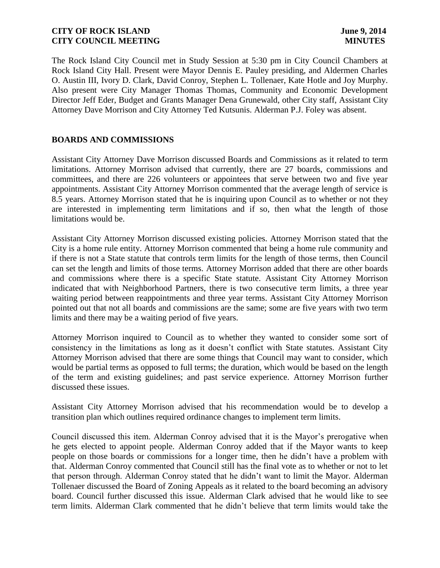The Rock Island City Council met in Study Session at 5:30 pm in City Council Chambers at Rock Island City Hall. Present were Mayor Dennis E. Pauley presiding, and Aldermen Charles O. Austin III, Ivory D. Clark, David Conroy, Stephen L. Tollenaer, Kate Hotle and Joy Murphy. Also present were City Manager Thomas Thomas, Community and Economic Development Director Jeff Eder, Budget and Grants Manager Dena Grunewald, other City staff, Assistant City Attorney Dave Morrison and City Attorney Ted Kutsunis. Alderman P.J. Foley was absent.

# **BOARDS AND COMMISSIONS**

Assistant City Attorney Dave Morrison discussed Boards and Commissions as it related to term limitations. Attorney Morrison advised that currently, there are 27 boards, commissions and committees, and there are 226 volunteers or appointees that serve between two and five year appointments. Assistant City Attorney Morrison commented that the average length of service is 8.5 years. Attorney Morrison stated that he is inquiring upon Council as to whether or not they are interested in implementing term limitations and if so, then what the length of those limitations would be.

Assistant City Attorney Morrison discussed existing policies. Attorney Morrison stated that the City is a home rule entity. Attorney Morrison commented that being a home rule community and if there is not a State statute that controls term limits for the length of those terms, then Council can set the length and limits of those terms. Attorney Morrison added that there are other boards and commissions where there is a specific State statute. Assistant City Attorney Morrison indicated that with Neighborhood Partners, there is two consecutive term limits, a three year waiting period between reappointments and three year terms. Assistant City Attorney Morrison pointed out that not all boards and commissions are the same; some are five years with two term limits and there may be a waiting period of five years.

Attorney Morrison inquired to Council as to whether they wanted to consider some sort of consistency in the limitations as long as it doesn't conflict with State statutes. Assistant City Attorney Morrison advised that there are some things that Council may want to consider, which would be partial terms as opposed to full terms; the duration, which would be based on the length of the term and existing guidelines; and past service experience. Attorney Morrison further discussed these issues.

Assistant City Attorney Morrison advised that his recommendation would be to develop a transition plan which outlines required ordinance changes to implement term limits.

Council discussed this item. Alderman Conroy advised that it is the Mayor's prerogative when he gets elected to appoint people. Alderman Conroy added that if the Mayor wants to keep people on those boards or commissions for a longer time, then he didn't have a problem with that. Alderman Conroy commented that Council still has the final vote as to whether or not to let that person through. Alderman Conroy stated that he didn't want to limit the Mayor. Alderman Tollenaer discussed the Board of Zoning Appeals as it related to the board becoming an advisory board. Council further discussed this issue. Alderman Clark advised that he would like to see term limits. Alderman Clark commented that he didn't believe that term limits would take the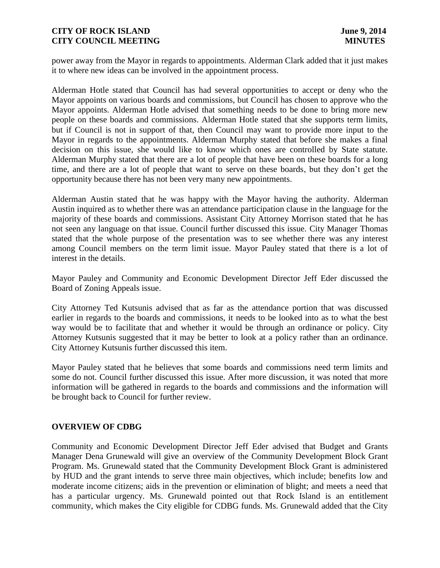power away from the Mayor in regards to appointments. Alderman Clark added that it just makes it to where new ideas can be involved in the appointment process.

Alderman Hotle stated that Council has had several opportunities to accept or deny who the Mayor appoints on various boards and commissions, but Council has chosen to approve who the Mayor appoints. Alderman Hotle advised that something needs to be done to bring more new people on these boards and commissions. Alderman Hotle stated that she supports term limits, but if Council is not in support of that, then Council may want to provide more input to the Mayor in regards to the appointments. Alderman Murphy stated that before she makes a final decision on this issue, she would like to know which ones are controlled by State statute. Alderman Murphy stated that there are a lot of people that have been on these boards for a long time, and there are a lot of people that want to serve on these boards, but they don't get the opportunity because there has not been very many new appointments.

Alderman Austin stated that he was happy with the Mayor having the authority. Alderman Austin inquired as to whether there was an attendance participation clause in the language for the majority of these boards and commissions. Assistant City Attorney Morrison stated that he has not seen any language on that issue. Council further discussed this issue. City Manager Thomas stated that the whole purpose of the presentation was to see whether there was any interest among Council members on the term limit issue. Mayor Pauley stated that there is a lot of interest in the details.

Mayor Pauley and Community and Economic Development Director Jeff Eder discussed the Board of Zoning Appeals issue.

City Attorney Ted Kutsunis advised that as far as the attendance portion that was discussed earlier in regards to the boards and commissions, it needs to be looked into as to what the best way would be to facilitate that and whether it would be through an ordinance or policy. City Attorney Kutsunis suggested that it may be better to look at a policy rather than an ordinance. City Attorney Kutsunis further discussed this item.

Mayor Pauley stated that he believes that some boards and commissions need term limits and some do not. Council further discussed this issue. After more discussion, it was noted that more information will be gathered in regards to the boards and commissions and the information will be brought back to Council for further review.

#### **OVERVIEW OF CDBG**

Community and Economic Development Director Jeff Eder advised that Budget and Grants Manager Dena Grunewald will give an overview of the Community Development Block Grant Program. Ms. Grunewald stated that the Community Development Block Grant is administered by HUD and the grant intends to serve three main objectives, which include; benefits low and moderate income citizens; aids in the prevention or elimination of blight; and meets a need that has a particular urgency. Ms. Grunewald pointed out that Rock Island is an entitlement community, which makes the City eligible for CDBG funds. Ms. Grunewald added that the City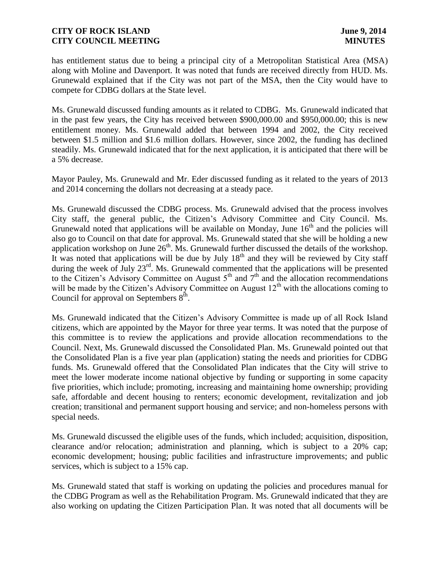has entitlement status due to being a principal city of a Metropolitan Statistical Area (MSA) along with Moline and Davenport. It was noted that funds are received directly from HUD. Ms. Grunewald explained that if the City was not part of the MSA, then the City would have to compete for CDBG dollars at the State level.

Ms. Grunewald discussed funding amounts as it related to CDBG. Ms. Grunewald indicated that in the past few years, the City has received between \$900,000.00 and \$950,000.00; this is new entitlement money. Ms. Grunewald added that between 1994 and 2002, the City received between \$1.5 million and \$1.6 million dollars. However, since 2002, the funding has declined steadily. Ms. Grunewald indicated that for the next application, it is anticipated that there will be a 5% decrease.

Mayor Pauley, Ms. Grunewald and Mr. Eder discussed funding as it related to the years of 2013 and 2014 concerning the dollars not decreasing at a steady pace.

Ms. Grunewald discussed the CDBG process. Ms. Grunewald advised that the process involves City staff, the general public, the Citizen's Advisory Committee and City Council. Ms. Grunewald noted that applications will be available on Monday, June  $16<sup>th</sup>$  and the policies will also go to Council on that date for approval. Ms. Grunewald stated that she will be holding a new application workshop on June  $26<sup>th</sup>$ . Ms. Grunewald further discussed the details of the workshop. It was noted that applications will be due by July  $18<sup>th</sup>$  and they will be reviewed by City staff during the week of July 23<sup>rd</sup>. Ms. Grunewald commented that the applications will be presented to the Citizen's Advisory Committee on August  $5<sup>th</sup>$  and  $7<sup>th</sup>$  and the allocation recommendations will be made by the Citizen's Advisory Committee on August  $12<sup>th</sup>$  with the allocations coming to Council for approval on Septembers  $8^{\text{th}}$ .

Ms. Grunewald indicated that the Citizen's Advisory Committee is made up of all Rock Island citizens, which are appointed by the Mayor for three year terms. It was noted that the purpose of this committee is to review the applications and provide allocation recommendations to the Council. Next, Ms. Grunewald discussed the Consolidated Plan. Ms. Grunewald pointed out that the Consolidated Plan is a five year plan (application) stating the needs and priorities for CDBG funds. Ms. Grunewald offered that the Consolidated Plan indicates that the City will strive to meet the lower moderate income national objective by funding or supporting in some capacity five priorities, which include; promoting, increasing and maintaining home ownership; providing safe, affordable and decent housing to renters; economic development, revitalization and job creation; transitional and permanent support housing and service; and non-homeless persons with special needs.

Ms. Grunewald discussed the eligible uses of the funds, which included; acquisition, disposition, clearance and/or relocation; administration and planning, which is subject to a 20% cap; economic development; housing; public facilities and infrastructure improvements; and public services, which is subject to a 15% cap.

Ms. Grunewald stated that staff is working on updating the policies and procedures manual for the CDBG Program as well as the Rehabilitation Program. Ms. Grunewald indicated that they are also working on updating the Citizen Participation Plan. It was noted that all documents will be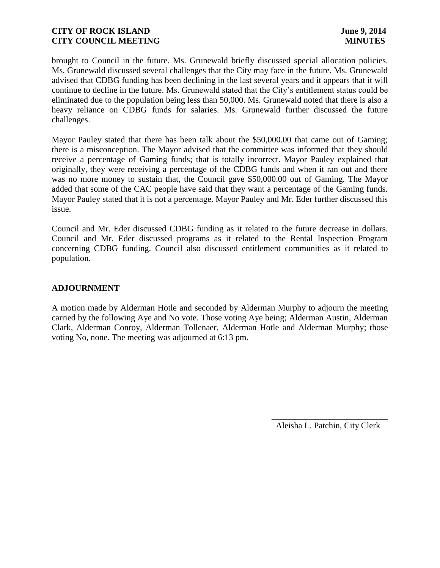brought to Council in the future. Ms. Grunewald briefly discussed special allocation policies. Ms. Grunewald discussed several challenges that the City may face in the future. Ms. Grunewald advised that CDBG funding has been declining in the last several years and it appears that it will continue to decline in the future. Ms. Grunewald stated that the City's entitlement status could be eliminated due to the population being less than 50,000. Ms. Grunewald noted that there is also a heavy reliance on CDBG funds for salaries. Ms. Grunewald further discussed the future challenges.

Mayor Pauley stated that there has been talk about the \$50,000.00 that came out of Gaming; there is a misconception. The Mayor advised that the committee was informed that they should receive a percentage of Gaming funds; that is totally incorrect. Mayor Pauley explained that originally, they were receiving a percentage of the CDBG funds and when it ran out and there was no more money to sustain that, the Council gave \$50,000.00 out of Gaming. The Mayor added that some of the CAC people have said that they want a percentage of the Gaming funds. Mayor Pauley stated that it is not a percentage. Mayor Pauley and Mr. Eder further discussed this issue.

Council and Mr. Eder discussed CDBG funding as it related to the future decrease in dollars. Council and Mr. Eder discussed programs as it related to the Rental Inspection Program concerning CDBG funding. Council also discussed entitlement communities as it related to population.

### **ADJOURNMENT**

A motion made by Alderman Hotle and seconded by Alderman Murphy to adjourn the meeting carried by the following Aye and No vote. Those voting Aye being; Alderman Austin, Alderman Clark, Alderman Conroy, Alderman Tollenaer, Alderman Hotle and Alderman Murphy; those voting No, none. The meeting was adjourned at 6:13 pm.

Aleisha L. Patchin, City Clerk

 $\frac{1}{2}$  , and the set of the set of the set of the set of the set of the set of the set of the set of the set of the set of the set of the set of the set of the set of the set of the set of the set of the set of the set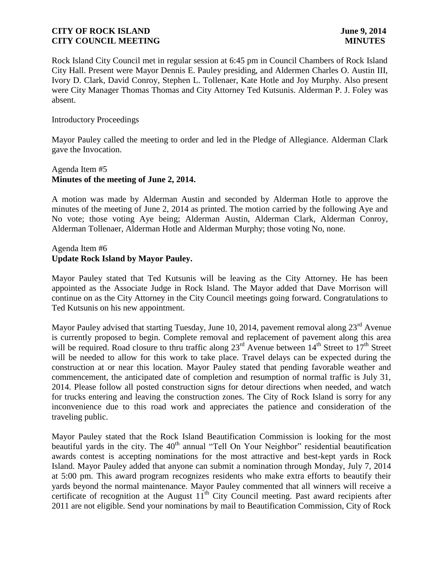Rock Island City Council met in regular session at 6:45 pm in Council Chambers of Rock Island City Hall. Present were Mayor Dennis E. Pauley presiding, and Aldermen Charles O. Austin III, Ivory D. Clark, David Conroy, Stephen L. Tollenaer, Kate Hotle and Joy Murphy. Also present were City Manager Thomas Thomas and City Attorney Ted Kutsunis. Alderman P. J. Foley was absent.

#### Introductory Proceedings

Mayor Pauley called the meeting to order and led in the Pledge of Allegiance. Alderman Clark gave the Invocation.

# Agenda Item #5 **Minutes of the meeting of June 2, 2014.**

A motion was made by Alderman Austin and seconded by Alderman Hotle to approve the minutes of the meeting of June 2, 2014 as printed. The motion carried by the following Aye and No vote; those voting Aye being; Alderman Austin, Alderman Clark, Alderman Conroy, Alderman Tollenaer, Alderman Hotle and Alderman Murphy; those voting No, none.

### Agenda Item #6 **Update Rock Island by Mayor Pauley.**

Mayor Pauley stated that Ted Kutsunis will be leaving as the City Attorney. He has been appointed as the Associate Judge in Rock Island. The Mayor added that Dave Morrison will continue on as the City Attorney in the City Council meetings going forward. Congratulations to Ted Kutsunis on his new appointment.

Mayor Pauley advised that starting Tuesday, June 10, 2014, pavement removal along  $23<sup>rd</sup>$  Avenue is currently proposed to begin. Complete removal and replacement of pavement along this area will be required. Road closure to thru traffic along 23<sup>rd</sup> Avenue between 14<sup>th</sup> Street to 17<sup>th</sup> Street will be needed to allow for this work to take place. Travel delays can be expected during the construction at or near this location. Mayor Pauley stated that pending favorable weather and commencement, the anticipated date of completion and resumption of normal traffic is July 31, 2014. Please follow all posted construction signs for detour directions when needed, and watch for trucks entering and leaving the construction zones. The City of Rock Island is sorry for any inconvenience due to this road work and appreciates the patience and consideration of the traveling public.

Mayor Pauley stated that the Rock Island Beautification Commission is looking for the most beautiful yards in the city. The  $40<sup>th</sup>$  annual "Tell On Your Neighbor" residential beautification awards contest is accepting nominations for the most attractive and best-kept yards in Rock Island. Mayor Pauley added that anyone can submit a nomination through Monday, July 7, 2014 at 5:00 pm. This award program recognizes residents who make extra efforts to beautify their yards beyond the normal maintenance. Mayor Pauley commented that all winners will receive a certificate of recognition at the August  $11<sup>th</sup>$  City Council meeting. Past award recipients after 2011 are not eligible. Send your nominations by mail to Beautification Commission, City of Rock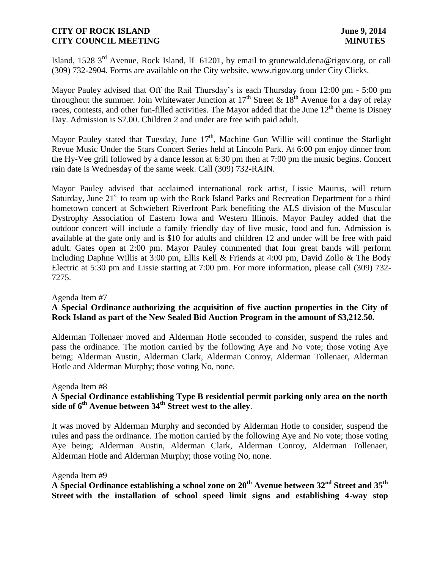Island, 1528 3<sup>rd</sup> Avenue, Rock Island, IL 61201, by email to grunewald.dena@rigov.org, or call (309) 732-2904. Forms are available on the City website, www.rigov.org under City Clicks.

Mayor Pauley advised that Off the Rail Thursday's is each Thursday from 12:00 pm - 5:00 pm throughout the summer. Join Whitewater Junction at  $17<sup>th</sup>$  Street &  $18<sup>th</sup>$  Avenue for a day of relay races, contests, and other fun-filled activities. The Mayor added that the June 12<sup>th</sup> theme is Disney Day. Admission is \$7.00. Children 2 and under are free with paid adult.

Mayor Pauley stated that Tuesday, June  $17<sup>th</sup>$ , Machine Gun Willie will continue the Starlight Revue Music Under the Stars Concert Series held at Lincoln Park. At 6:00 pm enjoy dinner from the Hy-Vee grill followed by a dance lesson at 6:30 pm then at 7:00 pm the music begins. Concert rain date is Wednesday of the same week. Call (309) 732-RAIN.

Mayor Pauley advised that acclaimed international rock artist, Lissie Maurus, will return Saturday, June  $21<sup>st</sup>$  to team up with the Rock Island Parks and Recreation Department for a third hometown concert at Schwiebert Riverfront Park benefiting the ALS division of the Muscular Dystrophy Association of Eastern Iowa and Western Illinois. Mayor Pauley added that the outdoor concert will include a family friendly day of live music, food and fun. Admission is available at the gate only and is \$10 for adults and children 12 and under will be free with paid adult. Gates open at 2:00 pm. Mayor Pauley commented that four great bands will perform including Daphne Willis at 3:00 pm, Ellis Kell & Friends at 4:00 pm, David Zollo & The Body Electric at 5:30 pm and Lissie starting at 7:00 pm. For more information, please call (309) 732- 7275.

#### Agenda Item #7

# **A Special Ordinance authorizing the acquisition of five auction properties in the City of Rock Island as part of the New Sealed Bid Auction Program in the amount of \$3,212.50.**

Alderman Tollenaer moved and Alderman Hotle seconded to consider, suspend the rules and pass the ordinance. The motion carried by the following Aye and No vote; those voting Aye being; Alderman Austin, Alderman Clark, Alderman Conroy, Alderman Tollenaer, Alderman Hotle and Alderman Murphy; those voting No, none.

#### Agenda Item #8

# **A Special Ordinance establishing Type B residential permit parking only area on the north side of 6th Avenue between 34th Street west to the alley**.

It was moved by Alderman Murphy and seconded by Alderman Hotle to consider, suspend the rules and pass the ordinance. The motion carried by the following Aye and No vote; those voting Aye being; Alderman Austin, Alderman Clark, Alderman Conroy, Alderman Tollenaer, Alderman Hotle and Alderman Murphy; those voting No, none.

#### Agenda Item #9

**A Special Ordinance establishing a school zone on 20th Avenue between 32nd Street and 35th Street with the installation of school speed limit signs and establishing 4-way stop**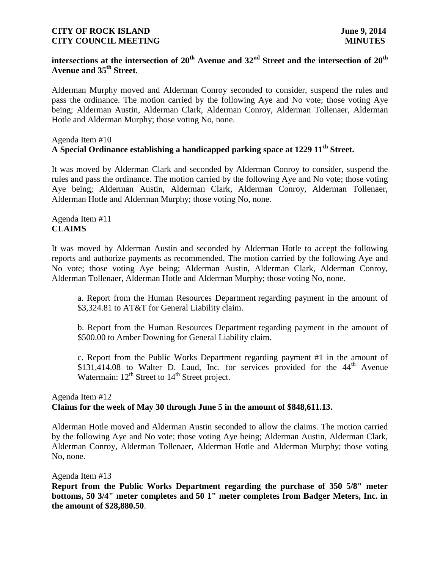# **intersections at the intersection of 20th Avenue and 32nd Street and the intersection of 20th Avenue and 35th Street**.

Alderman Murphy moved and Alderman Conroy seconded to consider, suspend the rules and pass the ordinance. The motion carried by the following Aye and No vote; those voting Aye being; Alderman Austin, Alderman Clark, Alderman Conroy, Alderman Tollenaer, Alderman Hotle and Alderman Murphy; those voting No, none.

# Agenda Item #10 **A Special Ordinance establishing a handicapped parking space at 1229 11th Street.**

It was moved by Alderman Clark and seconded by Alderman Conroy to consider, suspend the rules and pass the ordinance. The motion carried by the following Aye and No vote; those voting Aye being; Alderman Austin, Alderman Clark, Alderman Conroy, Alderman Tollenaer, Alderman Hotle and Alderman Murphy; those voting No, none.

# Agenda Item #11 **CLAIMS**

It was moved by Alderman Austin and seconded by Alderman Hotle to accept the following reports and authorize payments as recommended. The motion carried by the following Aye and No vote; those voting Aye being; Alderman Austin, Alderman Clark, Alderman Conroy, Alderman Tollenaer, Alderman Hotle and Alderman Murphy; those voting No, none.

a. Report from the Human Resources Department regarding payment in the amount of \$3,324.81 to AT&T for General Liability claim.

b. Report from the Human Resources Department regarding payment in the amount of \$500.00 to Amber Downing for General Liability claim.

c. Report from the Public Works Department regarding payment #1 in the amount of \$131,414.08 to Walter D. Laud, Inc. for services provided for the  $44<sup>th</sup>$  Avenue Watermain:  $12^{th}$  Street to  $14^{th}$  Street project.

#### Agenda Item #12 **Claims for the week of May 30 through June 5 in the amount of \$848,611.13.**

Alderman Hotle moved and Alderman Austin seconded to allow the claims. The motion carried by the following Aye and No vote; those voting Aye being; Alderman Austin, Alderman Clark, Alderman Conroy, Alderman Tollenaer, Alderman Hotle and Alderman Murphy; those voting No, none.

Agenda Item #13

**Report from the Public Works Department regarding the purchase of 350 5/8" meter bottoms, 50 3/4" meter completes and 50 1" meter completes from Badger Meters, Inc. in the amount of \$28,880.50**.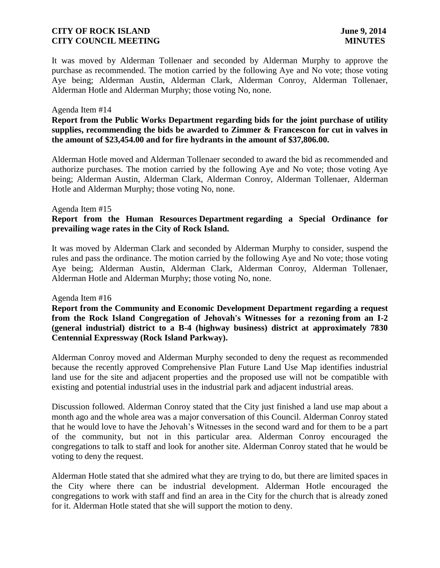It was moved by Alderman Tollenaer and seconded by Alderman Murphy to approve the purchase as recommended. The motion carried by the following Aye and No vote; those voting Aye being; Alderman Austin, Alderman Clark, Alderman Conroy, Alderman Tollenaer, Alderman Hotle and Alderman Murphy; those voting No, none.

#### Agenda Item #14

**Report from the Public Works Department regarding bids for the joint purchase of utility supplies, recommending the bids be awarded to Zimmer & Francescon for cut in valves in the amount of \$23,454.00 and for fire hydrants in the amount of \$37,806.00.**

Alderman Hotle moved and Alderman Tollenaer seconded to award the bid as recommended and authorize purchases. The motion carried by the following Aye and No vote; those voting Aye being; Alderman Austin, Alderman Clark, Alderman Conroy, Alderman Tollenaer, Alderman Hotle and Alderman Murphy; those voting No, none.

#### Agenda Item #15

# **Report from the Human Resources Department regarding a Special Ordinance for prevailing wage rates in the City of Rock Island.**

It was moved by Alderman Clark and seconded by Alderman Murphy to consider, suspend the rules and pass the ordinance. The motion carried by the following Aye and No vote; those voting Aye being; Alderman Austin, Alderman Clark, Alderman Conroy, Alderman Tollenaer, Alderman Hotle and Alderman Murphy; those voting No, none.

#### Agenda Item #16

**Report from the Community and Economic Development Department regarding a request from the Rock Island Congregation of Jehovah's Witnesses for a rezoning from an I-2 (general industrial) district to a B-4 (highway business) district at approximately 7830 Centennial Expressway (Rock Island Parkway).**

Alderman Conroy moved and Alderman Murphy seconded to deny the request as recommended because the recently approved Comprehensive Plan Future Land Use Map identifies industrial land use for the site and adjacent properties and the proposed use will not be compatible with existing and potential industrial uses in the industrial park and adjacent industrial areas.

Discussion followed. Alderman Conroy stated that the City just finished a land use map about a month ago and the whole area was a major conversation of this Council. Alderman Conroy stated that he would love to have the Jehovah's Witnesses in the second ward and for them to be a part of the community, but not in this particular area. Alderman Conroy encouraged the congregations to talk to staff and look for another site. Alderman Conroy stated that he would be voting to deny the request.

Alderman Hotle stated that she admired what they are trying to do, but there are limited spaces in the City where there can be industrial development. Alderman Hotle encouraged the congregations to work with staff and find an area in the City for the church that is already zoned for it. Alderman Hotle stated that she will support the motion to deny.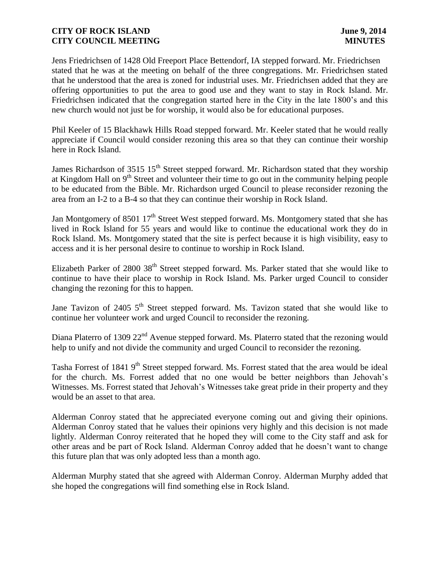Jens Friedrichsen of 1428 Old Freeport Place Bettendorf, IA stepped forward. Mr. Friedrichsen stated that he was at the meeting on behalf of the three congregations. Mr. Friedrichsen stated that he understood that the area is zoned for industrial uses. Mr. Friedrichsen added that they are offering opportunities to put the area to good use and they want to stay in Rock Island. Mr. Friedrichsen indicated that the congregation started here in the City in the late 1800's and this new church would not just be for worship, it would also be for educational purposes.

Phil Keeler of 15 Blackhawk Hills Road stepped forward. Mr. Keeler stated that he would really appreciate if Council would consider rezoning this area so that they can continue their worship here in Rock Island.

James Richardson of 3515 15<sup>th</sup> Street stepped forward. Mr. Richardson stated that they worship at Kingdom Hall on  $9<sup>th</sup>$  Street and volunteer their time to go out in the community helping people to be educated from the Bible. Mr. Richardson urged Council to please reconsider rezoning the area from an I-2 to a B-4 so that they can continue their worship in Rock Island.

Jan Montgomery of 8501  $17<sup>th</sup>$  Street West stepped forward. Ms. Montgomery stated that she has lived in Rock Island for 55 years and would like to continue the educational work they do in Rock Island. Ms. Montgomery stated that the site is perfect because it is high visibility, easy to access and it is her personal desire to continue to worship in Rock Island.

Elizabeth Parker of 2800 38<sup>th</sup> Street stepped forward. Ms. Parker stated that she would like to continue to have their place to worship in Rock Island. Ms. Parker urged Council to consider changing the rezoning for this to happen.

Jane Tavizon of 2405 5<sup>th</sup> Street stepped forward. Ms. Tavizon stated that she would like to continue her volunteer work and urged Council to reconsider the rezoning.

Diana Platerro of 1309 22<sup>nd</sup> Avenue stepped forward. Ms. Platerro stated that the rezoning would help to unify and not divide the community and urged Council to reconsider the rezoning.

Tasha Forrest of 1841 9<sup>th</sup> Street stepped forward. Ms. Forrest stated that the area would be ideal for the church. Ms. Forrest added that no one would be better neighbors than Jehovah's Witnesses. Ms. Forrest stated that Jehovah's Witnesses take great pride in their property and they would be an asset to that area.

Alderman Conroy stated that he appreciated everyone coming out and giving their opinions. Alderman Conroy stated that he values their opinions very highly and this decision is not made lightly. Alderman Conroy reiterated that he hoped they will come to the City staff and ask for other areas and be part of Rock Island. Alderman Conroy added that he doesn't want to change this future plan that was only adopted less than a month ago.

Alderman Murphy stated that she agreed with Alderman Conroy. Alderman Murphy added that she hoped the congregations will find something else in Rock Island.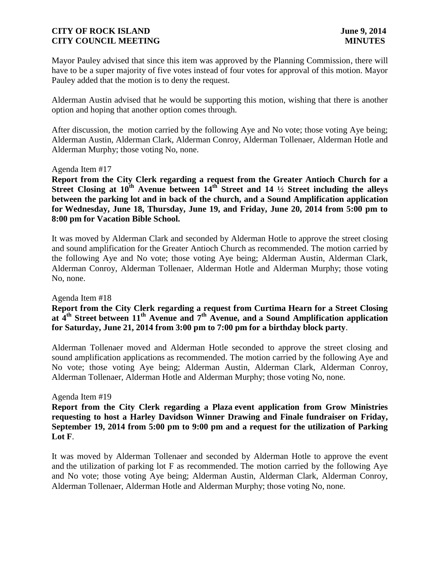Mayor Pauley advised that since this item was approved by the Planning Commission, there will have to be a super majority of five votes instead of four votes for approval of this motion. Mayor Pauley added that the motion is to deny the request.

Alderman Austin advised that he would be supporting this motion, wishing that there is another option and hoping that another option comes through.

After discussion, the motion carried by the following Aye and No vote; those voting Aye being; Alderman Austin, Alderman Clark, Alderman Conroy, Alderman Tollenaer, Alderman Hotle and Alderman Murphy; those voting No, none.

#### Agenda Item #17

**Report from the City Clerk regarding a request from the Greater Antioch Church for a Street Closing at 10th Avenue between 14th Street and 14 ½ Street including the alleys between the parking lot and in back of the church, and a Sound Amplification application for Wednesday, June 18, Thursday, June 19, and Friday, June 20, 2014 from 5:00 pm to 8:00 pm for Vacation Bible School.**

It was moved by Alderman Clark and seconded by Alderman Hotle to approve the street closing and sound amplification for the Greater Antioch Church as recommended. The motion carried by the following Aye and No vote; those voting Aye being; Alderman Austin, Alderman Clark, Alderman Conroy, Alderman Tollenaer, Alderman Hotle and Alderman Murphy; those voting No, none.

#### Agenda Item #18

# **Report from the City Clerk regarding a request from Curtima Hearn for a Street Closing at 4 th Street between 11th Avenue and 7th Avenue, and a Sound Amplification application for Saturday, June 21, 2014 from 3:00 pm to 7:00 pm for a birthday block party**.

Alderman Tollenaer moved and Alderman Hotle seconded to approve the street closing and sound amplification applications as recommended. The motion carried by the following Aye and No vote; those voting Aye being; Alderman Austin, Alderman Clark, Alderman Conroy, Alderman Tollenaer, Alderman Hotle and Alderman Murphy; those voting No, none.

#### Agenda Item #19

**Report from the City Clerk regarding a Plaza event application from Grow Ministries requesting to host a Harley Davidson Winner Drawing and Finale fundraiser on Friday, September 19, 2014 from 5:00 pm to 9:00 pm and a request for the utilization of Parking Lot F**.

It was moved by Alderman Tollenaer and seconded by Alderman Hotle to approve the event and the utilization of parking lot F as recommended. The motion carried by the following Aye and No vote; those voting Aye being; Alderman Austin, Alderman Clark, Alderman Conroy, Alderman Tollenaer, Alderman Hotle and Alderman Murphy; those voting No, none.